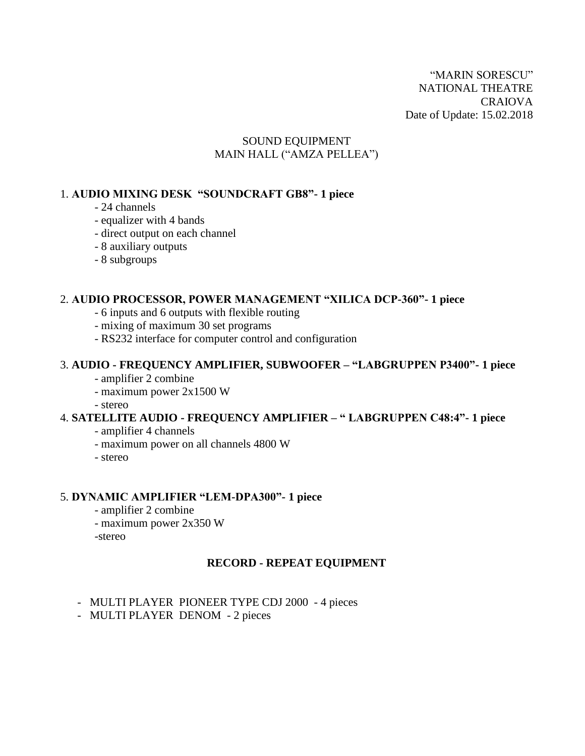"MARIN SORESCU" NATIONAL THEATRE CRAIOVA Date of Update: 15.02.2018

### SOUND EQUIPMENT MAIN HALL ("AMZA PELLEA")

#### 1. **AUDIO MIXING DESK "SOUNDCRAFT GB8"- 1 piece**

- 24 channels
- equalizer with 4 bands
- direct output on each channel
- 8 auxiliary outputs
- 8 subgroups

### 2. **AUDIO PROCESSOR, POWER MANAGEMENT "XILICA DCP-360"- 1 piece**

- 6 inputs and 6 outputs with flexible routing
- mixing of maximum 30 set programs
- RS232 interface for computer control and configuration

#### 3. **AUDIO - FREQUENCY AMPLIFIER, SUBWOOFER – "LABGRUPPEN P3400"- 1 piece**

- amplifier 2 combine
- maximum power 2x1500 W
- stereo

#### 4. **SATELLITE AUDIO - FREQUENCY AMPLIFIER – " LABGRUPPEN C48:4"- 1 piece**

- amplifier 4 channels
- maximum power on all channels 4800 W
- stereo

#### 5. **DYNAMIC AMPLIFIER "LEM-DPA300"- 1 piece**

- amplifier 2 combine
- maximum power 2x350 W
- -stereo

#### **RECORD - REPEAT EQUIPMENT**

- MULTI PLAYER PIONEER TYPE CDJ 2000 4 pieces
- MULTI PLAYER DENOM 2 pieces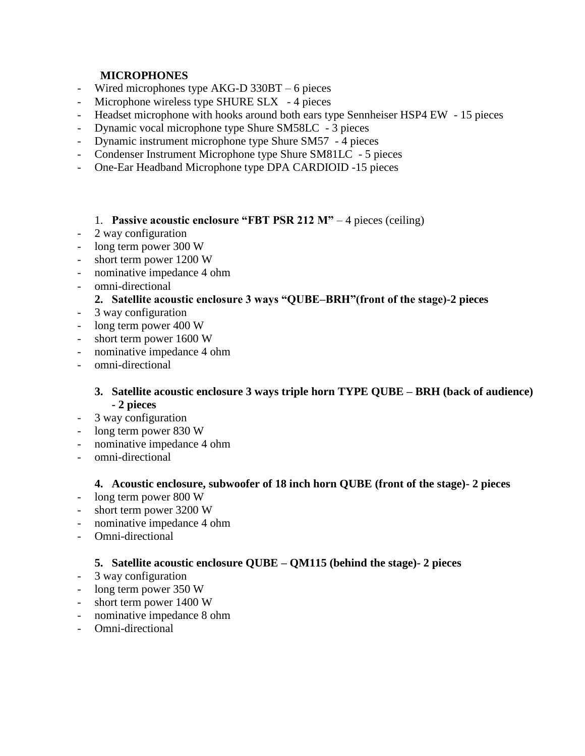# **MICROPHONES**

- Wired microphones type AKG-D 330BT 6 pieces
- Microphone wireless type SHURE SLX 4 pieces
- Headset microphone with hooks around both ears type Sennheiser HSP4 EW 15 pieces
- Dynamic vocal microphone type Shure SM58LC 3 pieces
- Dynamic instrument microphone type Shure SM57 4 pieces
- Condenser Instrument Microphone type Shure SM81LC 5 pieces
- One-Ear Headband Microphone type DPA CARDIOID -15 pieces

#### 1. **Passive acoustic enclosure "FBT PSR 212 M"** – 4 pieces (ceiling)

- 2 way configuration
- long term power 300 W
- short term power 1200 W
- nominative impedance 4 ohm
- omni-directional

## **2. Satellite acoustic enclosure 3 ways "QUBE–BRH"(front of the stage)-2 pieces**

- 3 way configuration
- long term power 400 W
- short term power 1600 W
- nominative impedance 4 ohm
- omni-directional

## **3. Satellite acoustic enclosure 3 ways triple horn TYPE QUBE – BRH (back of audience) - 2 pieces**

- 3 way configuration
- long term power 830 W
- nominative impedance 4 ohm
- omni-directional

#### **4. Acoustic enclosure, subwoofer of 18 inch horn QUBE (front of the stage)- 2 pieces**

- long term power 800 W
- short term power 3200 W
- nominative impedance 4 ohm
- Omni-directional

## **5. Satellite acoustic enclosure QUBE – QM115 (behind the stage)- 2 pieces**

- 3 way configuration
- long term power 350 W
- short term power 1400 W
- nominative impedance 8 ohm
- Omni-directional